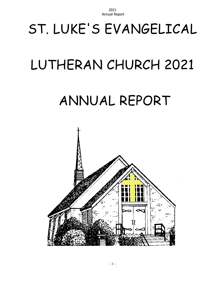# ST. LUKE'S EVANGELICAL

# LUTHERAN CHURCH 2021

# ANNUAL REPORT

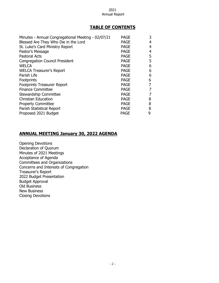#### **TABLE OF CONTENTS**

| <b>PAGE</b> | 3 |
|-------------|---|
| <b>PAGE</b> | 4 |
| <b>PAGE</b> | 4 |
| <b>PAGE</b> | 4 |
| <b>PAGE</b> | 5 |
| <b>PAGE</b> | 5 |
| <b>PAGE</b> | 6 |
| <b>PAGE</b> | 6 |
| <b>PAGE</b> | 6 |
| <b>PAGE</b> | 6 |
| <b>PAGE</b> |   |
| <b>PAGE</b> |   |
| PAGE        |   |
| <b>PAGE</b> | 8 |
| <b>PAGE</b> | 8 |
| <b>PAGE</b> | 8 |
| <b>PAGE</b> | 9 |
|             |   |

#### **ANNUAL MEETING January 30, 2022 AGENDA**

Opening Devotions Declaration of Quorum Minutes of 2021 Meetings Acceptance of Agenda Committees and Organizations Concerns and Interests of Congregation Treasurer's Report 2022 Budget Presentation Budget Approval Old Business New Business Closing Devotions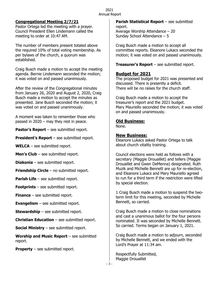#### **Congregational Meeting 2/7/21**

Pastor Ortega led the meeting with a prayer. Council President Ellen Lindemann called the meeting to order at 10:47 AM.

The number of members present totaled above the required 10% of total voting membership. As per bylaws of the church, a quorum was established.

Craig Busch made a motion to accept the meeting agenda. Bernie Lindemann seconded the motion; it was voted on and passed unanimously.

After the review of the Congregational minutes from January 26, 2020 and August 2, 2020, Craig Busch made a motion to accept the minutes as presented. Jane Busch seconded the motion; it was voted on and passed unanimously.

A moment was taken to remember those who passed in 2020 – may they rest in peace.

**Pastor's Report** – see submitted report.

**President's Report** – see submitted report.

**WELCA** – see submitted report.

**Men's Club** – see submitted report.

**Diakonia** – see submitted report.

**Friendship Circle** – no submitted report.

**Parish Life** – see submitted report.

**Footprints** – see submitted report.

**Finance** – see submitted report.

**Evangelism** – see submitted report.

**Stewardship** – see submitted report.

**Christian Education** – see submitted report.

**Social Ministry** – see submitted report.

**Worship and Music Report** – see submitted report.

**Property** – see submitted report.

**Parish Statistical Report** – see submitted report. Average Worship Attendance – 20 Sunday School Attendance – 5

Craig Busch made a motion to accept all committee reports. Eleanore Lukacs seconded the motion; it was voted on and passed unanimously.

**Treasurer's Report** – see submitted report.

#### **Budget for 2021**

The proposed budget for 2021 was presented and discussed. There is presently a deficit. There will be no raises for the church staff.

Craig Busch made a motion to accept the treasurer's report and the 2021 budget. Mary Mauriello seconded the motion; it was voted on and passed unanimously.

#### **Old Business:**

None.

#### **New Business:**

Eleanore Lukacs asked Pastor Ortega to talk about church vitality training.

Council elections were held as follows with a secretary (Maggie Drouaillet) and tellers (Maggie Drouaillet and Gwen DeMenna) designated. Ruth Muzik and Michelle Bennett are up for re-election, and Eleanore Lukacs and Mary Mauriello agreed to run for a third term if the restriction were lifted by special election.

1 Craig Busch made a motion to suspend the twoterm limit for this meeting, seconded by Michelle Bennett, so carried.

Craig Busch made a motion to close nominations and cast a unanimous ballot for the four persons nominated. It was seconded by Michelle Bennett. So carried. Terms began on January 1, 2021.

Craig Busch made a motion to adjourn, seconded by Michelle Bennett, and we ended with the Lord's Prayer at 11:34 am.

Respectfully Submitted, Maggie Drouaillet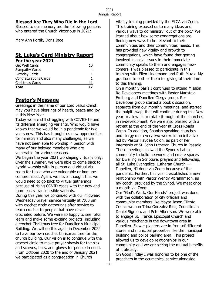#### **Blessed Are They Who Die in the Lord**

Blessed to our memory are the following persons who entered the Church Victorious in 2021:

Mary Ann Portik, Doris Igoe

#### **St. Luke's Card Ministry Report For the year 2021**

| <b>Total</b>                 | 27 |
|------------------------------|----|
| Christmas Cards              | 11 |
| <b>Congratulations Cards</b> |    |
| <b>Birthday Cards</b>        |    |
| Sympathy Cards               |    |
| Get Well Cards               | 10 |
|                              |    |

# **Pastor's Message**

Greetings in the name of our Lord Jesus Christ! May you have blessings of health, peace and joy in this New Year.

Today we are still struggling with COVID-19 and its different emerging variants. Who would have known that we would be in a pandemic for two years now. This has brought us new opportunities for ministry and also many challenges, as we have not been able to worship in person with many of our beloved members who are vulnerable for various reasons.

We began the year 2021 worshiping virtually only. Over the summer, we were able to come back to hybrid worship with in-person and virtual via zoom for those who are vulnerable or immunecompromised. Again, we never thought that we would need to go back to virtual gatherings because of rising COVID cases with the new and more easily transmissible variants.

During this year we continued with our midweek Wednesday prayer service virtually at 7:00 pm with crochet circle gatherings after service to teach crochet to people that have never crocheted before. We were so happy to see folks learn and make some exciting projects, including a crochet Christmas tree for Dunellen's Municipal Building. We will do this again in December 2022 to have our own crochet Christmas tree for the church building. Our vision is to continue with the crochet circle to make prayer shawls for the sick and scarves, hats, and gloves for people in need. From October 2020 to the end of January 2021 we participated as a congregation in Church

Vitality training provided by the ELCA via Zoom. This training exposed us to many ideas and various ways to do ministry "out of the box." We learned about how some congregations are finding new ways to be relevant to their communities and their communities' needs. This has provided new vitality and growth to congregations, which have found that getting involved in social issues in their immediate community speaks to them and engages newcomers. I was blessed to participate in this training with Ellen Lindemann and Ruth Muzik. My gratitude to both of them for giving of their time to this training.

On a monthly basis I continued to attend Mission Re-Developers meetings with Pastor Maristela Freiberg and Dunellen Clergy group. Re-Developer group started a book discussion, separate from our monthly meetings, and started the pulpit swap, that will continue during this New year to allow us to rotate through all the churches in re-development. We were also blessed with a retreat at the end of the year at Cross Roads Camp. In addition, Spanish speaking churches and clergy met every two weeks in an initiative led by Pastor Haydee Colon, as part of her internship at St. John Lutheran Church in Passaic. These meetings allowed the Synod's Latinx community to build networks and create spaces for Dwelling in Scripture, prayers and fellowship, all St. Luke Evangelical Lutheran Church — Dunellen, NJ done via Zoom because of the pandemic. Further, this year I established a new relationship with Pastor Wendy Abrahamson, as my coach, provided by the Synod. We meet once a month via Zoom.

Our "God's Work, Our Hands" project was done with the collaboration of city officials and community members like Mayor Jason Cilento, Councilwoman Trina Gonzalez Rios, Councilman Daniel Sigmon, and Pete Albertson. We were able to engage St. Francis Episcopal Church and various merchants in the downtown area in Dunellen. Flower planters are in front of different stores and municipal properties like the municipal building and police parking area. This project allowed us to develop relationships in our community and we are seeing the mutual benefits of it already.

On Good Friday I was honored to be one of the preachers in the ecumenical service alongside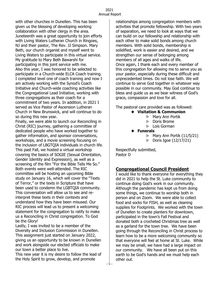with other churches in Dunellen. This has been given us the blessing of developing working collaboration with other clergy in the area. Juneteenth was a great opportunity to join efforts with Living Waters Lutheran Church in Ringoes, NJ and their pastor, The Rev. JJ Simpson. Mary Beth, our church organist and myself went to Living Waters to participate in this virtual service. My gratitude to Mary Beth Bawarshi for participating in this joint service with me. Also this year, I was honored to be selected to participate in a Church-wide ELCA Coach training. I completed level one of coach training and now I am actively working with the Synod's Coach Initiative and Church-wide coaching activities like the Congregational Lead Initiative, working with three congregations as their coach for a commitment of two years. In addition, in 2021 I served as Vice Pastor of Ascension Lutheran Church in New Brunswick, and will continue to do so during this new year.

Finally, we were able to launch our Reconciling in Christ (RIC) journey, gathering a committee of dedicated people who have worked together to gather information, and sponsor conversations, workshops, and a movie screening focusing on the inclusion of LBGTQIA individuals in church life. This past Fall, we hosted a virtual workshop covering the basics of SOGIE (Sexual Orientation, Gender Identity and Expression), as well as a screening of the film "For the Bible Tells Me So." Both events were well-attended. The RIC committee will be hosting an upcoming Bible study on January 16, which will cover the "Texts of Terror," or the texts in Scripture that have been used to condemn the LGBTQIA community. This conversation will allow us to see and reinterpret these texts in their contexts and understand how they have been misused. Our RIC process will lead us to present a welcoming statement for the congregation to ratify to make us a Reconciling in Christ congregation. To God be the Glory!

Lastly, I was invited to be a member of the Diversity and Inclusion Commission in Dunellen. This assignment just started on January 2022, giving us an opportunity to be known in Dunellen and work alongside our elected officials to make our town a better place to live.

This new year it is my desire to follow the lead of the Holy Spirit to grow, develop, and promote

relationships among congregation members with activities that promote fellowship. With two years of separation, we need to look at ways that we can build on our fellowship and relationship with each other to make solid bonds among church members. With solid bonds, membership is solidified, work is easier and desired, and we strengthen our sense of belonging among members of all ages and walks of life. Once again, I thank each and every member of this congregation for allowing me to serve you as your pastor, especially during these difficult and unprecedented times. Do not lose faith. We will continue to serve God together in whatever way possible in our community. May God continue to bless and guide us as we bear witness of God's grace, compassion and love for all.

The pastoral care provided was as followed:

- **Visitation & Communion**
	- Mary Ann Portik
	- Doris Brome  $\triangleright$
	- **Exerge Exerge Section**
- **Funerals**
	- Mary Ann Portik (11/5/21)  $\triangleright$
	- $\triangleright$ Doris Igoe (12/17/21)

Respectfully submitted, Pastor D

# **Congregational Council President**

I would like to thank everyone for everything they did in 2021 to help the St. Luke community to continue doing God's work in our community. Although the pandemic has kept us from doing some things, we continue to worship both in person and on Zoom. We were able to collect food and socks for FISH, as well as cleaning supplies for Footprints. We worked with the town of Dunellen to create planters for downtown, participated in the town's Fall Festival and donated both a crocheted Christmas tree as well as a garland for the town tree. We have been going through the Reconciling in Christ process to learn how to be a more welcoming community so that everyone will feel at home at St. Luke. While we may be small, we have had a large impact on our community. We have all been put on this earth to be God's hands and we must help each other out.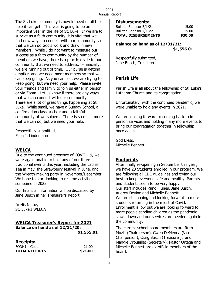The St. Luke community is now in need of all the help it can get. This year is going to be an important year in the life of St. Luke. If we are to survive as a faith community, it is vital that we find new ways to connect with our community so that we can do God's work and draw in new members. While I do not want to measure our success as a faith community by the number of members we have, there is a practical side to our community that we need to address. Financially, we are running out of time. Our purse is getting emptier, and we need more members so that we can keep going. As you can see, we are trying to keep going, but we need your help. Please invite your friends and family to join us either in person or via Zoom. Let us know if there are any ways that we can connect with our community. There are a lot of great things happening at St. Luke. While small, we have a Sunday School, a confirmation class, a choir and a faithful community of worshipers. There is so much more that we can do, but we need your help.

Respectfully submitted, Ellen J. Lindemann

# **WELCA**

Due to the continued presence of COVID-19, we were again unable to hold any of our three traditional events this year, including the Ladies' Tea in May, the Strawberry festival in June, and the Wreath-making party in November/December. We hope to start looking to resume activities sometime in 2022.

Our financial information will be discussed by Jane Busch in her Treasurer's Report.

In His Name, St. Luke's WELCA

#### **WELCA Treasurer's Report for 2021 Balance on hand as of 12/31/20:**

 **\$1,565.01**

| <b>Receipts:</b>      |         |
|-----------------------|---------|
| FONNJ – Goats         | 21.00   |
| <b>TOTAL RECEIPTS</b> | \$21.00 |

#### **Disbursements:**

| <b>TOTAL DISBURSEMENTS</b> | \$30.00 |
|----------------------------|---------|
| Bulletin Sponsor 4/18/21   | 15.00   |
| Bulletin Sponsor 3/1/21    | 15.00   |

#### **Balance on hand as of 12/31/21: \$1,556.01**

Respectfully submitted, Jane Busch, Treasurer

# **Parish Life**

Parish Life is all about the fellowship of St. Luke's Lutheran Church and its congregation.

Unfortunately, with the continued pandemic, we were unable to hold any events in 2021.

We are looking forward to coming back to inperson services and holding many more events to bring our congregation together in fellowship once again.

God Bless, Michelle Bennett

#### **Footprints**

After finally re-opening in September this year, we have 23 Students enrolled in our program. We are following all CDC guidelines and trying our best to keep everyone safe and healthy. Parents and students seem to be very happy. Our staff includes Randi Funes, Jane Busch, Audrey Devine and Michelle Bennett. We are still hoping and looking forward to more students returning in the midst of Covid. Enrollment is low but we are looking forward to more people sending children as the pandemic slows down and our services are needed again in the community.

The current school board members are Ruth Muzik (Chairperson), Gwen DeMenna (Vice Chairperson), Craig Busch (Treasurer), and Maggie Drouaillet (Secretary). Pastor Ortega and Michelle Bennett are ex-officio members of the board.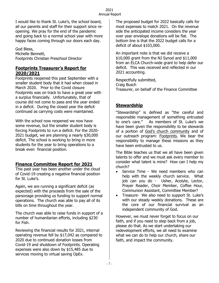I would like to thank St. Luke's, the school board, all our parents and staff for their support since reopening. We pray for the end of the pandemic and going back to a normal school year with more happy faces coming through our doors each day.

God Bless, Michelle Bennett, Footprints Christian Preschool Director

#### **Footprints Treasurer's Report for 2020/2021**

Footprints reopened this past September with a smaller student body that it had when closed in March 2020. Prior to the Covid closure Footprints was on track to have a great year with a surplus financially. Unfortunately, that of course did not come to pass and the year ended in a deficit. During the closed year the deficit continued as carrying costs were maintained.

With the school now reopened we now have some revenue, but the smaller student body is forcing Footprints to run a deficit. For the 2020- 2021 budget, we are planning a nearly \$30,000 deficit. The school is working to bring in more students for the year to bring operations to a break even financial position.

# **Finance Committee Report for 2021**

This past year has been another under the cloud of Covid-19 creating a negative financial position for St. Luke's.

Again, we are running a significant deficit (as expected) with the proceeds from the sale of the parsonage providing us funding to support normal operations. The church was able to pay all of its bills on time throughout the year.

The church was able to raise funds in support of a number of humanitarian efforts, including \$230 for Fish.

Reviewing the financial results for 2021, internal operating revenue fell by \$17,042 as compared to 2020 due to continued donation losses from Covid-19 and shutdown of Footprints. Operating expenses were also down by \$15,485 due to services moving to virtual saving OpEx.

The proposed budget for 2022 basically calls for most expenses to match 2021. On the revenue side the anticipated income considers the year over year envelope donations will be flat. The bottom line is that the 2022 budget calls for a deficit of about \$103,000.

An important note is that we did receive a \$10,000 grant from the NJ Synod and \$11,000 from an ELCA Church-wide grant to help defer our deficit. This was received and reflected in our 2021 accounting.

Respectfully submitted, Craig Busch Treasurer, on behalf of the Finance Committee

# **Stewardship**

"Stewardship" is defined as "the careful and responsible management of something entrusted to one's care." As members of St. Luke's we have been given the responsibility to be stewards of a portion of God's church community and of our outreach program: Footprints. We bear the responsibility to manage these missions as they have been entrusted to us.

The Bible teaches us that we all have been given talents to offer and we must ask every member to consider what talent is mine? How can I help my church?

- Service Time We need members who can help with the weekly church service. What job can you do - Usher, Acolyte, Lector, Prayer Reader, Choir Member, Coffee Hour, Communion Assistant, Committee Member?
- Treasure- We also need to support St. Luke's with our steady weekly donations. These are the core of our financial survival as an independent community of God.

However, we must never forget to focus on our faith, and if you need to step back from a job, please do that. As we start undertaking our redevelopment efforts, we all need to examine what we can do to help our church, share our faith, and impact the community.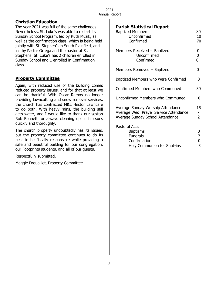# **Christian Education**

The year 2021 was full of the same challenges. Nevertheless, St. Luke's was able to restart its Sunday School Program, led by Ruth Muzik, as well as the confirmation class, which is being held jointly with St. Stephen's in South Plainfield, and led by Pastor Ortega and the pastor at St. Stephens. St. Luke's has 2 children enrolled in Sunday School and 1 enrolled in Confirmation class.

# **Property Committee**

Again, with reduced use of the building comes reduced property issues, and for that at least we can be thankful. With Oscar Ramos no longer providing lawncutting and snow removal services, the church has contracted M&L Hector Lawncare to do both. With heavy rains, the building still gets water, and I would like to thank our sexton Rob Bennett for always cleaning up such issues quickly and thoroughly.

The church property undoubtedly has its issues, but the property committee continues to do its best to be fiscally responsible while providing a safe and beautiful building for our congregation, our Footprints students, and all of our guests.

Respectfully submitted,

Maggie Drouaillet, Property Committee

# **Parish Statistical Report**

| <b>Baptized Members</b><br>Unconfirmed<br>Confirmed                                                             | 80<br>10<br>70                         |
|-----------------------------------------------------------------------------------------------------------------|----------------------------------------|
| Members Received - Baptized<br>Unconfirmed<br>Confirmed                                                         | 0<br>0<br>0                            |
| Members Removed - Baptized                                                                                      | 0                                      |
| Baptized Members who were Confirmed                                                                             | 0                                      |
| Confirmed Members who Communed                                                                                  | 30                                     |
| Unconfirmed Members who Communed                                                                                | 0                                      |
| Average Sunday Worship Attendance<br>Average Wed. Prayer Service Attendance<br>Average Sunday School Attendance | 15<br>$\overline{7}$<br>$\overline{2}$ |
| <b>Pastoral Acts</b><br><b>Baptisms</b><br><b>Funerals</b><br>Confirmation<br>Holy Communion for Shut-ins       | 0<br>2<br>0<br>3                       |